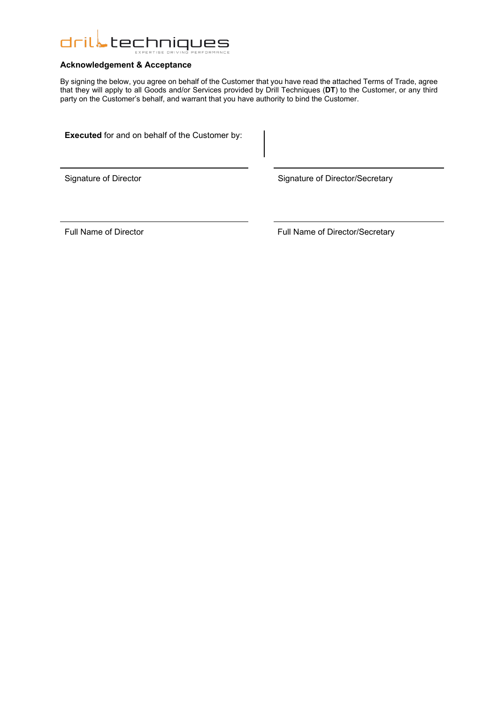

# **Acknowledgement & Acceptance**

By signing the below, you agree on behalf of the Customer that you have read the attached Terms of Trade, agree that they will apply to all Goods and/or Services provided by Drill Techniques (**DT**) to the Customer, or any third party on the Customer's behalf, and warrant that you have authority to bind the Customer.

**Executed** for and on behalf of the Customer by:

Signature of Director Signature of Director/Secretary

Full Name of Director **Full Name of Director/Secretary**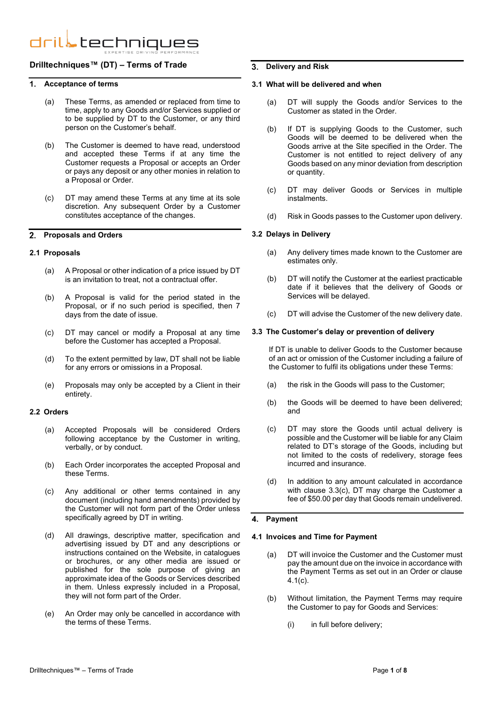# **Drilltechniques™ (DT) – Terms of Trade**

#### $\mathbf 1$ **Acceptance of terms**

- (a) These Terms, as amended or replaced from time to time, apply to any Goods and/or Services supplied or to be supplied by DT to the Customer, or any third person on the Customer's behalf.
- (b) The Customer is deemed to have read, understood and accepted these Terms if at any time the Customer requests a Proposal or accepts an Order or pays any deposit or any other monies in relation to a Proposal or Order.
- (c) DT may amend these Terms at any time at its sole discretion. Any subsequent Order by a Customer constitutes acceptance of the changes.

#### **Proposals and Orders**  $\overline{2}$

#### **2.1 Proposals**

- (a) A Proposal or other indication of a price issued by DT is an invitation to treat, not a contractual offer.
- (b) A Proposal is valid for the period stated in the Proposal, or if no such period is specified, then 7 days from the date of issue.
- (c) DT may cancel or modify a Proposal at any time before the Customer has accepted a Proposal.
- (d) To the extent permitted by law, DT shall not be liable for any errors or omissions in a Proposal.
- (e) Proposals may only be accepted by a Client in their entirety.

# **2.2 Orders**

- (a) Accepted Proposals will be considered Orders following acceptance by the Customer in writing, verbally, or by conduct.
- (b) Each Order incorporates the accepted Proposal and these Terms.
- (c) Any additional or other terms contained in any document (including hand amendments) provided by the Customer will not form part of the Order unless specifically agreed by DT in writing.
- (d) All drawings, descriptive matter, specification and advertising issued by DT and any descriptions or instructions contained on the Website, in catalogues or brochures, or any other media are issued or published for the sole purpose of giving an approximate idea of the Goods or Services described in them. Unless expressly included in a Proposal, they will not form part of the Order.
- (e) An Order may only be cancelled in accordance with the terms of these Terms.

#### **Delivery and Risk**

#### **3.1 What will be delivered and when**

- (a) DT will supply the Goods and/or Services to the Customer as stated in the Order.
- (b) If DT is supplying Goods to the Customer, such Goods will be deemed to be delivered when the Goods arrive at the Site specified in the Order. The Customer is not entitled to reject delivery of any Goods based on any minor deviation from description or quantity.
- (c) DT may deliver Goods or Services in multiple instalments.
- (d) Risk in Goods passes to the Customer upon delivery.

#### **3.2 Delays in Delivery**

- (a) Any delivery times made known to the Customer are estimates only.
- (b) DT will notify the Customer at the earliest practicable date if it believes that the delivery of Goods or Services will be delayed.
- (c) DT will advise the Customer of the new delivery date.

#### <span id="page-1-0"></span>**3.3 The Customer's delay or prevention of delivery**

If DT is unable to deliver Goods to the Customer because of an act or omission of the Customer including a failure of the Customer to fulfil its obligations under these Terms:

- (a) the risk in the Goods will pass to the Customer;
- (b) the Goods will be deemed to have been delivered; and
- <span id="page-1-1"></span>(c) DT may store the Goods until actual delivery is possible and the Customer will be liable for any Claim related to DT's storage of the Goods, including but not limited to the costs of redelivery, storage fees incurred and insurance.
- (d) In addition to any amount calculated in accordance with clause [3.3](#page-1-0)[\(c\),](#page-1-1) DT may charge the Customer a fee of \$50.00 per day that Goods remain undelivered.

## **Payment**

#### <span id="page-1-2"></span>**4.1 Invoices and Time for Payment**

- (a) DT will invoice the Customer and the Customer must pay the amount due on the invoice in accordance with the Payment Terms as set out in an Order or clause [4.1](#page-1-2)[\(c\).](#page-2-0)
- (b) Without limitation, the Payment Terms may require the Customer to pay for Goods and Services:
	- (i) in full before delivery;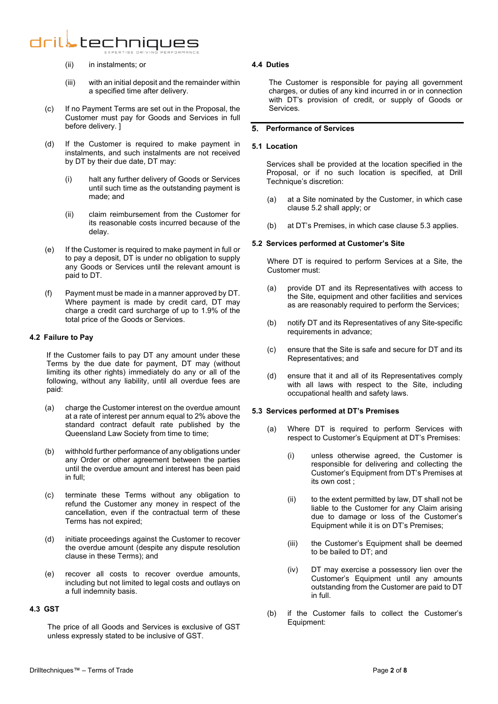- (ii) in instalments; or
- (iii) with an initial deposit and the remainder within a specified time after delivery.
- <span id="page-2-0"></span>(c) If no Payment Terms are set out in the Proposal, the Customer must pay for Goods and Services in full before delivery. ]
- (d) If the Customer is required to make payment in instalments, and such instalments are not received by DT by their due date, DT may:
	- (i) halt any further delivery of Goods or Services until such time as the outstanding payment is made; and
	- (ii) claim reimbursement from the Customer for its reasonable costs incurred because of the delay.
- (e) If the Customer is required to make payment in full or to pay a deposit, DT is under no obligation to supply any Goods or Services until the relevant amount is paid to DT.
- (f) Payment must be made in a manner approved by DT. Where payment is made by credit card, DT may charge a credit card surcharge of up to 1.9% of the total price of the Goods or Services.

# <span id="page-2-3"></span>**4.2 Failure to Pay**

If the Customer fails to pay DT any amount under these Terms by the due date for payment, DT may (without limiting its other rights) immediately do any or all of the following, without any liability, until all overdue fees are paid:

- (a) charge the Customer interest on the overdue amount at a rate of interest per annum equal to 2% above the standard contract default rate published by the Queensland Law Society from time to time;
- (b) withhold further performance of any obligations under any Order or other agreement between the parties until the overdue amount and interest has been paid in full;
- (c) terminate these Terms without any obligation to refund the Customer any money in respect of the cancellation, even if the contractual term of these Terms has not expired;
- (d) initiate proceedings against the Customer to recover the overdue amount (despite any dispute resolution clause in these Terms); and
- (e) recover all costs to recover overdue amounts, including but not limited to legal costs and outlays on a full indemnity basis.

# **4.3 GST**

The price of all Goods and Services is exclusive of GST unless expressly stated to be inclusive of GST.

# **4.4 Duties**

The Customer is responsible for paying all government charges, or duties of any kind incurred in or in connection with DT's provision of credit, or supply of Goods or Services.

# **Performance of Services**

## **5.1 Location**

Services shall be provided at the location specified in the Proposal, or if no such location is specified, at Drill Technique's discretion:

- (a) at a Site nominated by the Customer, in which case clause [5.2](#page-2-1) shall apply; or
- (b) at DT's Premises, in which case clause [5.3](#page-2-2) applies.

# <span id="page-2-1"></span>**5.2 Services performed at Customer's Site**

Where DT is required to perform Services at a Site, the Customer must:

- (a) provide DT and its Representatives with access to the Site, equipment and other facilities and services as are reasonably required to perform the Services;
- (b) notify DT and its Representatives of any Site-specific requirements in advance;
- (c) ensure that the Site is safe and secure for DT and its Representatives; and
- (d) ensure that it and all of its Representatives comply with all laws with respect to the Site, including occupational health and safety laws.

## <span id="page-2-2"></span>**5.3 Services performed at DT's Premises**

- (a) Where DT is required to perform Services with respect to Customer's Equipment at DT's Premises:
	- (i) unless otherwise agreed, the Customer is responsible for delivering and collecting the Customer's Equipment from DT's Premises at its own cost ;
	- (ii) to the extent permitted by law, DT shall not be liable to the Customer for any Claim arising due to damage or loss of the Customer's Equipment while it is on DT's Premises;
	- (iii) the Customer's Equipment shall be deemed to be bailed to DT; and
	- (iv) DT may exercise a possessory lien over the Customer's Equipment until any amounts outstanding from the Customer are paid to DT in full.
- (b) if the Customer fails to collect the Customer's Equipment: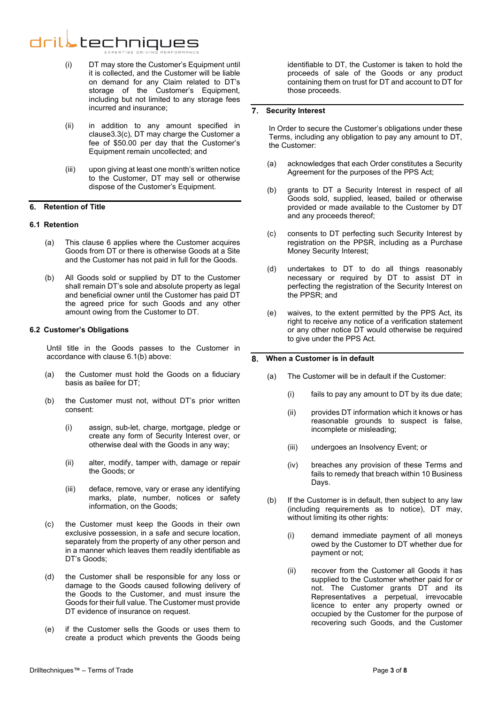- (i) DT may store the Customer's Equipment until it is collected, and the Customer will be liable on demand for any Claim related to DT's storage of the Customer's Equipment, including but not limited to any storage fees incurred and insurance;
- (ii) in addition to any amount specified in claus[e3.3\(c\),](#page-1-1) DT may charge the Customer a fee of \$50.00 per day that the Customer's Equipment remain uncollected; and
- (iii) upon giving at least one month's written notice to the Customer, DT may sell or otherwise dispose of the Customer's Equipment.

# <span id="page-3-0"></span>**Retention of Title**

# **6.1 Retention**

- (a) This clause [6](#page-3-0) applies where the Customer acquires Goods from DT or there is otherwise Goods at a Site and the Customer has not paid in full for the Goods.
- (b) All Goods sold or supplied by DT to the Customer shall remain DT's sole and absolute property as legal and beneficial owner until the Customer has paid DT the agreed price for such Goods and any other amount owing from the Customer to DT.

## **6.2 Customer's Obligations**

Until title in the Goods passes to the Customer in accordance with clause [6.1\(b\)](#page-3-1) above:

- (a) the Customer must hold the Goods on a fiduciary basis as bailee for DT;
- (b) the Customer must not, without DT's prior written consent:
	- (i) assign, sub-let, charge, mortgage, pledge or create any form of Security Interest over, or otherwise deal with the Goods in any way;
	- (ii) alter, modify, tamper with, damage or repair the Goods; or
	- (iii) deface, remove, vary or erase any identifying marks, plate, number, notices or safety information, on the Goods;
- (c) the Customer must keep the Goods in their own exclusive possession, in a safe and secure location, separately from the property of any other person and in a manner which leaves them readily identifiable as DT's Goods;
- (d) the Customer shall be responsible for any loss or damage to the Goods caused following delivery of the Goods to the Customer, and must insure the Goods for their full value. The Customer must provide DT evidence of insurance on request.
- (e) if the Customer sells the Goods or uses them to create a product which prevents the Goods being

identifiable to DT, the Customer is taken to hold the proceeds of sale of the Goods or any product containing them on trust for DT and account to DT for those proceeds.

# **Security Interest**

In Order to secure the Customer's obligations under these Terms, including any obligation to pay any amount to DT, the Customer:

- (a) acknowledges that each Order constitutes a Security Agreement for the purposes of the PPS Act;
- (b) grants to DT a Security Interest in respect of all Goods sold, supplied, leased, bailed or otherwise provided or made available to the Customer by DT and any proceeds thereof;
- (c) consents to DT perfecting such Security Interest by registration on the PPSR, including as a Purchase Money Security Interest;
- (d) undertakes to DT to do all things reasonably necessary or required by DT to assist DT in perfecting the registration of the Security Interest on the PPSR; and
- <span id="page-3-1"></span>(e) waives, to the extent permitted by the PPS Act, its right to receive any notice of a verification statement or any other notice DT would otherwise be required to give under the PPS Act.

#### **When a Customer is in default** 8

- (a) The Customer will be in default if the Customer:
	- (i) fails to pay any amount to DT by its due date;
	- (ii) provides DT information which it knows or has reasonable grounds to suspect is false, incomplete or misleading;
	- (iii) undergoes an Insolvency Event; or
	- (iv) breaches any provision of these Terms and fails to remedy that breach within 10 Business Days.
- (b) If the Customer is in default, then subject to any law (including requirements as to notice), DT may, without limiting its other rights:
	- (i) demand immediate payment of all moneys owed by the Customer to DT whether due for payment or not;
	- (ii) recover from the Customer all Goods it has supplied to the Customer whether paid for or not. The Customer grants DT and its Representatives a perpetual, irrevocable licence to enter any property owned or occupied by the Customer for the purpose of recovering such Goods, and the Customer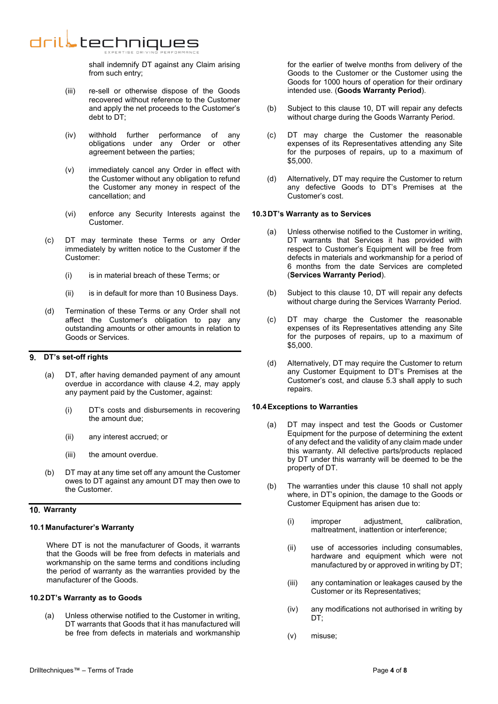shall indemnify DT against any Claim arising from such entry;

- (iii) re-sell or otherwise dispose of the Goods recovered without reference to the Customer and apply the net proceeds to the Customer's debt to DT;
- (iv) withhold further performance of any obligations under any Order or other agreement between the parties;
- (v) immediately cancel any Order in effect with the Customer without any obligation to refund the Customer any money in respect of the cancellation; and
- (vi) enforce any Security Interests against the Customer.
- (c) DT may terminate these Terms or any Order immediately by written notice to the Customer if the Customer:
	- (i) is in material breach of these Terms; or
	- (ii) is in default for more than 10 Business Days.
- (d) Termination of these Terms or any Order shall not affect the Customer's obligation to pay any outstanding amounts or other amounts in relation to Goods or Services.

#### **DT's set-off rights**   $\mathbf{q}$

- (a) DT, after having demanded payment of any amount overdue in accordance with clause [4.2,](#page-2-3) may apply any payment paid by the Customer, against:
	- (i) DT's costs and disbursements in recovering the amount due;
	- (ii) any interest accrued; or
	- (iii) the amount overdue.
- (b) DT may at any time set off any amount the Customer owes to DT against any amount DT may then owe to the Customer.

# <span id="page-4-0"></span>**Warranty**

# **10.1Manufacturer's Warranty**

Where DT is not the manufacturer of Goods, it warrants that the Goods will be free from defects in materials and workmanship on the same terms and conditions including the period of warranty as the warranties provided by the manufacturer of the Goods.

## **10.2DT's Warranty as to Goods**

(a) Unless otherwise notified to the Customer in writing, DT warrants that Goods that it has manufactured will be free from defects in materials and workmanship for the earlier of twelve months from delivery of the Goods to the Customer or the Customer using the Goods for 1000 hours of operation for their ordinary intended use. (**Goods Warranty Period**).

- (b) Subject to this clause [10,](#page-4-0) DT will repair any defects without charge during the Goods Warranty Period.
- (c) DT may charge the Customer the reasonable expenses of its Representatives attending any Site for the purposes of repairs, up to a maximum of \$5,000.
- (d) Alternatively, DT may require the Customer to return any defective Goods to DT's Premises at the Customer's cost.

# **10.3DT's Warranty as to Services**

- (a) Unless otherwise notified to the Customer in writing, DT warrants that Services it has provided with respect to Customer's Equipment will be free from defects in materials and workmanship for a period of 6 months from the date Services are completed (**Services Warranty Period**).
- (b) Subject to this clause [10,](#page-4-0) DT will repair any defects without charge during the Services Warranty Period.
- (c) DT may charge the Customer the reasonable expenses of its Representatives attending any Site for the purposes of repairs, up to a maximum of \$5,000.
- (d) Alternatively, DT may require the Customer to return any Customer Equipment to DT's Premises at the Customer's cost, and clause [5.3](#page-2-2) shall apply to such repairs.

# **10.4Exceptions to Warranties**

- (a) DT may inspect and test the Goods or Customer Equipment for the purpose of determining the extent of any defect and the validity of any claim made under this warranty. All defective parts/products replaced by DT under this warranty will be deemed to be the property of DT.
- (b) The warranties under this clause [10](#page-4-0) shall not apply where, in DT's opinion, the damage to the Goods or Customer Equipment has arisen due to:
	- (i) improper adjustment, calibration, maltreatment, inattention or interference;
	- (ii) use of accessories including consumables, hardware and equipment which were not manufactured by or approved in writing by DT;
	- (iii) any contamination or leakages caused by the Customer or its Representatives;
	- (iv) any modifications not authorised in writing by DT:
	- (v) misuse;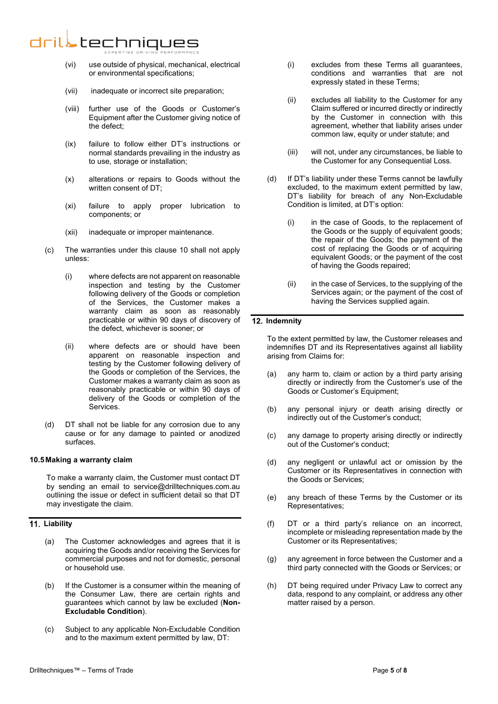- (vi) use outside of physical, mechanical, electrical or environmental specifications;
- (vii) inadequate or incorrect site preparation;
- (viii) further use of the Goods or Customer's Equipment after the Customer giving notice of the defect;
- (ix) failure to follow either DT's instructions or normal standards prevailing in the industry as to use, storage or installation;
- (x) alterations or repairs to Goods without the written consent of DT;
- (xi) failure to apply proper lubrication to components; or
- (xii) inadequate or improper maintenance.
- (c) The warranties under this clause [10](#page-4-0) shall not apply unless:
	- (i) where defects are not apparent on reasonable inspection and testing by the Customer following delivery of the Goods or completion of the Services, the Customer makes a warranty claim as soon as reasonably practicable or within 90 days of discovery of the defect, whichever is sooner; or
	- (ii) where defects are or should have been apparent on reasonable inspection and testing by the Customer following delivery of the Goods or completion of the Services, the Customer makes a warranty claim as soon as reasonably practicable or within 90 days of delivery of the Goods or completion of the Services.
- (d) DT shall not be liable for any corrosion due to any cause or for any damage to painted or anodized surfaces.

# **10.5Making a warranty claim**

To make a warranty claim, the Customer must contact DT by sending an email to service@drilltechniques.com.au outlining the issue or defect in sufficient detail so that DT may investigate the claim.

# **Liability**

- (a) The Customer acknowledges and agrees that it is acquiring the Goods and/or receiving the Services for commercial purposes and not for domestic, personal or household use.
- (b) If the Customer is a consumer within the meaning of the Consumer Law, there are certain rights and guarantees which cannot by law be excluded (**Non-Excludable Condition**).
- (c) Subject to any applicable Non-Excludable Condition and to the maximum extent permitted by law, DT:
- (i) excludes from these Terms all guarantees, conditions and warranties that are not expressly stated in these Terms;
- (ii) excludes all liability to the Customer for any Claim suffered or incurred directly or indirectly by the Customer in connection with this agreement, whether that liability arises under common law, equity or under statute; and
- (iii) will not, under any circumstances, be liable to the Customer for any Consequential Loss.
- (d) If DT's liability under these Terms cannot be lawfully excluded, to the maximum extent permitted by law, DT's liability for breach of any Non-Excludable Condition is limited, at DT's option:
	- (i) in the case of Goods, to the replacement of the Goods or the supply of equivalent goods; the repair of the Goods; the payment of the cost of replacing the Goods or of acquiring equivalent Goods; or the payment of the cost of having the Goods repaired;
	- (ii) in the case of Services, to the supplying of the Services again; or the payment of the cost of having the Services supplied again.

# **Indemnity**

To the extent permitted by law, the Customer releases and indemnifies DT and its Representatives against all liability arising from Claims for:

- (a) any harm to, claim or action by a third party arising directly or indirectly from the Customer's use of the Goods or Customer's Equipment;
- (b) any personal injury or death arising directly or indirectly out of the Customer's conduct;
- (c) any damage to property arising directly or indirectly out of the Customer's conduct;
- (d) any negligent or unlawful act or omission by the Customer or its Representatives in connection with the Goods or Services;
- (e) any breach of these Terms by the Customer or its Representatives;
- (f) DT or a third party's reliance on an incorrect, incomplete or misleading representation made by the Customer or its Representatives;
- (g) any agreement in force between the Customer and a third party connected with the Goods or Services; or
- (h) DT being required under Privacy Law to correct any data, respond to any complaint, or address any other matter raised by a person.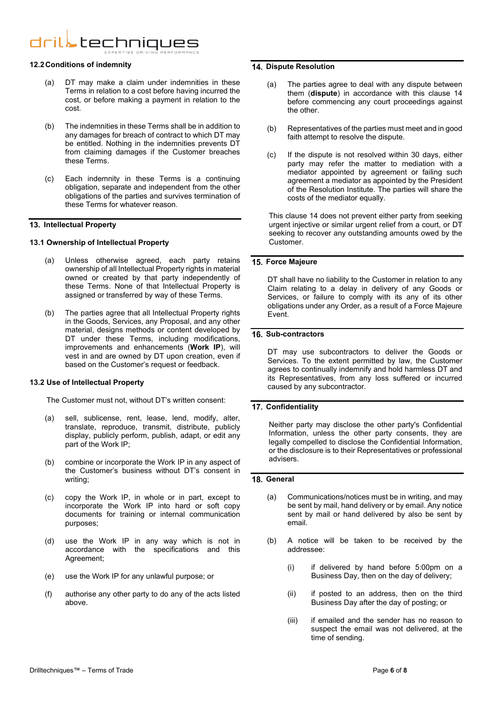#### **12.2Conditions of indemnity**

- (a) DT may make a claim under indemnities in these Terms in relation to a cost before having incurred the cost, or before making a payment in relation to the cost.
- (b) The indemnities in these Terms shall be in addition to any damages for breach of contract to which DT may be entitled. Nothing in the indemnities prevents DT from claiming damages if the Customer breaches these Terms.
- (c) Each indemnity in these Terms is a continuing obligation, separate and independent from the other obligations of the parties and survives termination of these Terms for whatever reason.

# **Intellectual Property**

# **13.1 Ownership of Intellectual Property**

- (a) Unless otherwise agreed, each party retains ownership of all Intellectual Property rights in material owned or created by that party independently of these Terms. None of that Intellectual Property is assigned or transferred by way of these Terms.
- (b) The parties agree that all Intellectual Property rights in the Goods, Services, any Proposal, and any other material, designs methods or content developed by DT under these Terms, including modifications, improvements and enhancements (**Work IP**), will vest in and are owned by DT upon creation, even if based on the Customer's request or feedback.

## **13.2 Use of Intellectual Property**

The Customer must not, without DT's written consent:

- (a) sell, sublicense, rent, lease, lend, modify, alter, translate, reproduce, transmit, distribute, publicly display, publicly perform, publish, adapt, or edit any part of the Work IP;
- (b) combine or incorporate the Work IP in any aspect of the Customer's business without DT's consent in writing;
- (c) copy the Work IP, in whole or in part, except to incorporate the Work IP into hard or soft copy documents for training or internal communication purposes;
- (d) use the Work IP in any way which is not in accordance with the specifications and this Agreement;
- (e) use the Work IP for any unlawful purpose; or
- (f) authorise any other party to do any of the acts listed above.

### <span id="page-6-0"></span>**14. Dispute Resolution**

- (a) The parties agree to deal with any dispute between them (**dispute**) in accordance with this clause [14](#page-6-0) before commencing any court proceedings against the other.
- (b) Representatives of the parties must meet and in good faith attempt to resolve the dispute.
- (c) If the dispute is not resolved within 30 days, either party may refer the matter to mediation with a mediator appointed by agreement or failing such agreement a mediator as appointed by the President of the Resolution Institute. The parties will share the costs of the mediator equally.

This clause [14](#page-6-0) does not prevent either party from seeking urgent injective or similar urgent relief from a court, or DT seeking to recover any outstanding amounts owed by the Customer.

# **Force Majeure**

DT shall have no liability to the Customer in relation to any Claim relating to a delay in delivery of any Goods or Services, or failure to comply with its any of its other obligations under any Order, as a result of a Force Majeure Event.

## 16. Sub-contractors

DT may use subcontractors to deliver the Goods or Services. To the extent permitted by law, the Customer agrees to continually indemnify and hold harmless DT and its Representatives, from any loss suffered or incurred caused by any subcontractor.

# **17. Confidentiality**

Neither party may disclose the other party's Confidential Information, unless the other party consents, they are legally compelled to disclose the Confidential Information, or the disclosure is to their Representatives or professional advisers.

# **General**

- (a) Communications/notices must be in writing, and may be sent by mail, hand delivery or by email. Any notice sent by mail or hand delivered by also be sent by email.
- (b) A notice will be taken to be received by the addressee:
	- (i) if delivered by hand before 5:00pm on a Business Day, then on the day of delivery;
	- (ii) if posted to an address, then on the third Business Day after the day of posting; or
	- (iii) if emailed and the sender has no reason to suspect the email was not delivered, at the time of sending.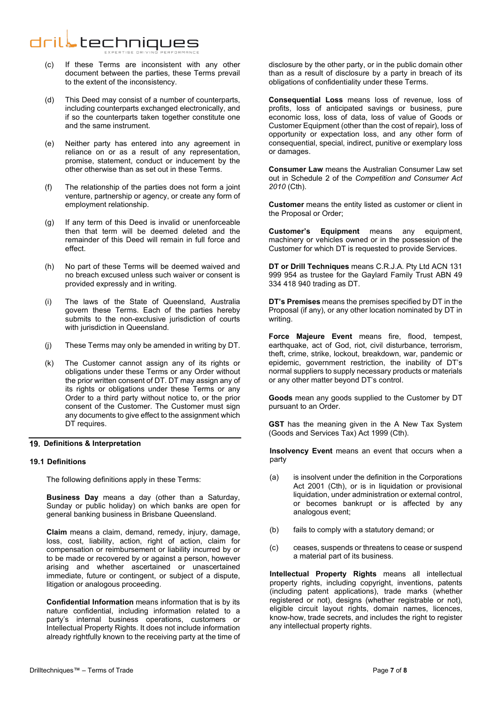- (c) If these Terms are inconsistent with any other document between the parties, these Terms prevail to the extent of the inconsistency.
- (d) This Deed may consist of a number of counterparts, including counterparts exchanged electronically, and if so the counterparts taken together constitute one and the same instrument.
- (e) Neither party has entered into any agreement in reliance on or as a result of any representation, promise, statement, conduct or inducement by the other otherwise than as set out in these Terms.
- (f) The relationship of the parties does not form a joint venture, partnership or agency, or create any form of employment relationship.
- (g) If any term of this Deed is invalid or unenforceable then that term will be deemed deleted and the remainder of this Deed will remain in full force and effect.
- (h) No part of these Terms will be deemed waived and no breach excused unless such waiver or consent is provided expressly and in writing.
- (i) The laws of the State of Queensland, Australia govern these Terms. Each of the parties hereby submits to the non-exclusive jurisdiction of courts with jurisdiction in Queensland.
- (j) These Terms may only be amended in writing by DT.
- (k) The Customer cannot assign any of its rights or obligations under these Terms or any Order without the prior written consent of DT. DT may assign any of its rights or obligations under these Terms or any Order to a third party without notice to, or the prior consent of the Customer. The Customer must sign any documents to give effect to the assignment which DT requires.

# **Definitions & Interpretation**

## **19.1 Definitions**

The following definitions apply in these Terms:

**Business Day** means a day (other than a Saturday, Sunday or public holiday) on which banks are open for general banking business in Brisbane Queensland.

**Claim** means a claim, demand, remedy, injury, damage, loss, cost, liability, action, right of action, claim for compensation or reimbursement or liability incurred by or to be made or recovered by or against a person, however arising and whether ascertained or unascertained immediate, future or contingent, or subject of a dispute, litigation or analogous proceeding.

**Confidential Information** means information that is by its nature confidential, including information related to a party's internal business operations, customers or Intellectual Property Rights. It does not include information already rightfully known to the receiving party at the time of disclosure by the other party, or in the public domain other than as a result of disclosure by a party in breach of its obligations of confidentiality under these Terms.

**Consequential Loss** means loss of revenue, loss of profits, loss of anticipated savings or business, pure economic loss, loss of data, loss of value of Goods or Customer Equipment (other than the cost of repair), loss of opportunity or expectation loss, and any other form of consequential, special, indirect, punitive or exemplary loss or damages.

**Consumer Law** means the Australian Consumer Law set out in Schedule 2 of the *Competition and Consumer Act 2010* (Cth).

**Customer** means the entity listed as customer or client in the Proposal or Order;

**Customer's Equipment** means any equipment, machinery or vehicles owned or in the possession of the Customer for which DT is requested to provide Services.

**DT or Drill Techniques** means C.R.J.A. Pty Ltd ACN 131 999 954 as trustee for the Gaylard Family Trust ABN 49 334 418 940 trading as DT.

**DT's Premises** means the premises specified by DT in the Proposal (if any), or any other location nominated by DT in writing.

**Force Majeure Event** means fire, flood, tempest, earthquake, act of God, riot, civil disturbance, terrorism, theft, crime, strike, lockout, breakdown, war, pandemic or epidemic, government restriction, the inability of DT's normal suppliers to supply necessary products or materials or any other matter beyond DT's control.

**Goods** mean any goods supplied to the Customer by DT pursuant to an Order.

**GST** has the meaning given in the A New Tax System (Goods and Services Tax) Act 1999 (Cth).

**Insolvency Event** means an event that occurs when a party

- (a) is insolvent under the definition in the Corporations Act 2001 (Cth), or is in liquidation or provisional liquidation, under administration or external control, or becomes bankrupt or is affected by any analogous event;
- (b) fails to comply with a statutory demand; or
- (c) ceases, suspends or threatens to cease or suspend a material part of its business.

**Intellectual Property Rights** means all intellectual property rights, including copyright, inventions, patents (including patent applications), trade marks (whether registered or not), designs (whether registrable or not), eligible circuit layout rights, domain names, licences, know-how, trade secrets, and includes the right to register any intellectual property rights.